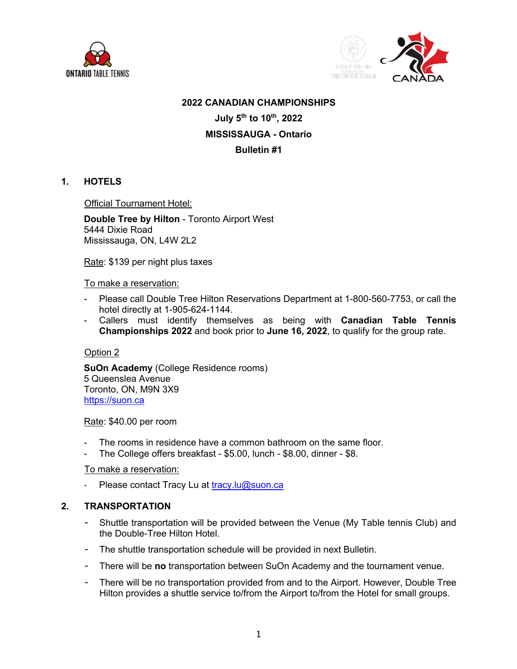



#### **2022 CANADIAN CHAMPIONSHIPS**

**July 5th to 10th, 2022**

# **MISSISSAUGA - Ontario**

# **Bulletin #1**

# **1. HOTELS**

Official Tournament Hotel:

**Double Tree by Hilton** - Toronto Airport West 5444 Dixie Road Mississauga, ON, L4W 2L2

Rate: \$139 per night plus taxes

To make a reservation:

- Please call Double Tree Hilton Reservations Department at 1-800-560-7753, or call the hotel directly at 1-905-624-1144.
- Callers must identify themselves as being with **Canadian Table Tennis Championships 2022** and book prior to **June 16, 2022**, to qualify for the group rate.

#### Option 2

**SuOn Academy** (College Residence rooms) 5 Queenslea Avenue Toronto, ON, M9N 3X9 https://suon.ca

Rate: \$40.00 per room

- The rooms in residence have a common bathroom on the same floor.
- The College offers breakfast \$5.00, lunch \$8.00, dinner \$8.

#### To make a reservation:

- Please contact Tracy Lu at tracy.lu@suon.ca

#### **2. TRANSPORTATION**

- Shuttle transportation will be provided between the Venue (My Table tennis Club) and the Double-Tree Hilton Hotel.
- The shuttle transportation schedule will be provided in next Bulletin.
- There will be **no** transportation between SuOn Academy and the tournament venue.
- There will be no transportation provided from and to the Airport. However, Double Tree Hilton provides a shuttle service to/from the Airport to/from the Hotel for small groups.